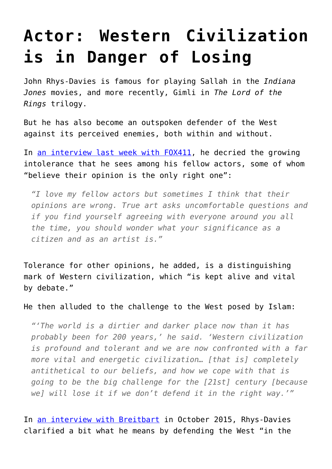## **[Actor: Western Civilization](https://intellectualtakeout.org/2016/08/actor-western-civilization-is-in-danger-of-losing/) [is in Danger of Losing](https://intellectualtakeout.org/2016/08/actor-western-civilization-is-in-danger-of-losing/)**

John Rhys-Davies is famous for playing Sallah in the *Indiana Jones* movies, and more recently, Gimli in *The Lord of the Rings* trilogy.

But he has also become an outspoken defender of the West against its perceived enemies, both within and without.

In [an interview last week with FOX411](http://www.foxnews.com/entertainment/2016/08/12/john-rhys-davies-political-views-have-lost-him-friends-in-hollywood.html), he decried the growing intolerance that he sees among his fellow actors, some of whom "believe their opinion is the only right one":

*"I love my fellow actors but sometimes I think that their opinions are wrong. True art asks uncomfortable questions and if you find yourself agreeing with everyone around you all the time, you should wonder what your significance as a citizen and as an artist is."*

Tolerance for other opinions, he added, is a distinguishing mark of Western civilization, which "is kept alive and vital by debate."

He then alluded to the challenge to the West posed by Islam:

*"'The world is a dirtier and darker place now than it has probably been for 200 years,' he said. 'Western civilization is profound and tolerant and we are now confronted with a far more vital and energetic civilization… [that is] completely antithetical to our beliefs, and how we cope with that is going to be the big challenge for the [21st] century [because we] will lose it if we don't defend it in the right way.'"*

In [an interview with Breitbart](http://www.breitbart.com/big-hollywood/2015/10/15/exclusive-bh-interview-john-rhys-davies-fall-western-civilization-islam-elephant-room/) in October 2015, Rhys-Davies clarified a bit what he means by defending the West "in the